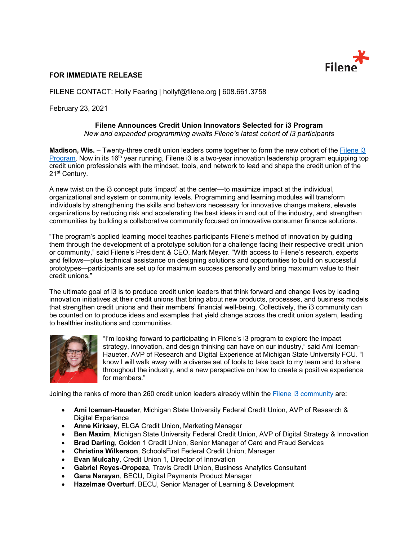

## **FOR IMMEDIATE RELEASE**

FILENE CONTACT: Holly Fearing | hollyf@filene.org | 608.661.3758

February 23, 2021

## **Filene Announces Credit Union Innovators Selected for i3 Program**

*New and expanded programming awaits Filene's latest cohort of i3 participants*

**Madison, Wis.** – Twenty-three credit union leaders come together to form the new cohort of the Filene i3 Program. Now in its 16<sup>th</sup> year running, Filene i3 is a two-year innovation leadership program equipping top credit union professionals with the mindset, tools, and network to lead and shape the credit union of the 21<sup>st</sup> Century.

A new twist on the i3 concept puts 'impact' at the center—to maximize impact at the individual, organizational and system or community levels. Programming and learning modules will transform individuals by strengthening the skills and behaviors necessary for innovative change makers, elevate organizations by reducing risk and accelerating the best ideas in and out of the industry, and strengthen communities by building a collaborative community focused on innovative consumer finance solutions.

"The program's applied learning model teaches participants Filene's method of innovation by guiding them through the development of a prototype solution for a challenge facing their respective credit union or community," said Filene's President & CEO, Mark Meyer. "With access to Filene's research, experts and fellows—plus technical assistance on designing solutions and opportunities to build on successful prototypes—participants are set up for maximum success personally and bring maximum value to their credit unions."

The ultimate goal of i3 is to produce credit union leaders that think forward and change lives by leading innovation initiatives at their credit unions that bring about new products, processes, and business models that strengthen credit unions and their members' financial well-being. Collectively, the i3 community can be counted on to produce ideas and examples that yield change across the credit union system, leading to healthier institutions and communities.



"I'm looking forward to participating in Filene's i3 program to explore the impact strategy, innovation, and design thinking can have on our industry," said Ami Iceman-Haueter, AVP of Research and Digital Experience at Michigan State University FCU. "I know I will walk away with a diverse set of tools to take back to my team and to share throughout the industry, and a new perspective on how to create a positive experience for members."

Joining the ranks of more than 260 credit union leaders already within the Filene i3 community are:

- **Ami Iceman-Haueter**, Michigan State University Federal Credit Union, AVP of Research & Digital Experience
- **Anne Kirksey**, ELGA Credit Union, Marketing Manager
- **Ben Maxim**, Michigan State University Federal Credit Union, AVP of Digital Strategy & Innovation
- **Brad Darling**, Golden 1 Credit Union, Senior Manager of Card and Fraud Services
- **Christina Wilkerson**, SchoolsFirst Federal Credit Union, Manager
- **Evan Mulcahy, Credit Union 1, Director of Innovation**
- **Gabriel Reyes-Oropeza**, Travis Credit Union, Business Analytics Consultant
- **Gana Narayan**, BECU, Digital Payments Product Manager
- **Hazelmae Overturf**, BECU, Senior Manager of Learning & Development